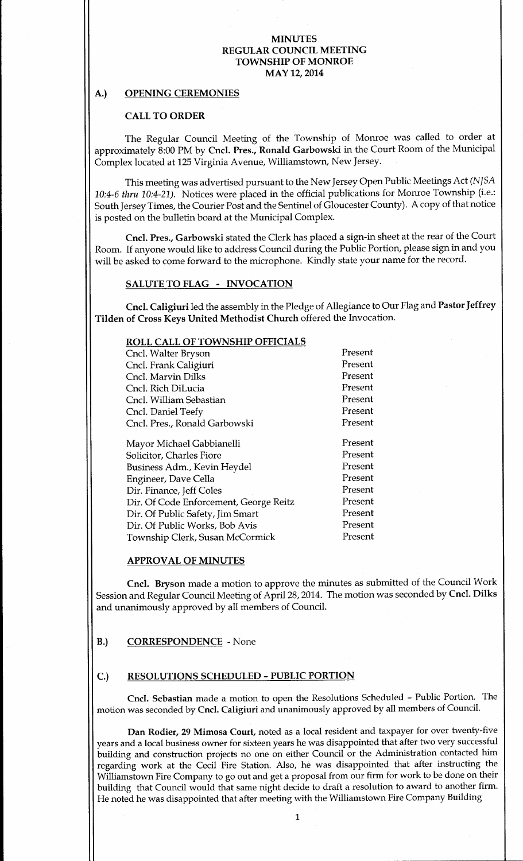# A.) OPENING CEREMONIES

### CALL TO ORDER

The Regular Council Meeting of the Township of Monroe was called to order at approximately 8:00 PM by Cncl. Pres., Ronald Garbowski in the Court Room of the Municipal Complex located at 125 Virginia Avenue, Williamstown, New Jersey.

This meeting was advertised pursuant to the New Jersey Open Public Meetings Act (NJSA 10:4-6 thru 10:4-21). Notices were placed in the official publications for Monroe Township (i.e.: South Jersey Times, the Courier Post and the Sentinel of Gloucester County). A copy of that notice is posted on the bulletin board at the Municipal Complex.

Cncl. Pres., Garbowski stated the Clerk has placed <sup>a</sup> sign-in sheet at the rear of the Court Room. If anyone would like to address Council during the Public Portion, please sign in and you will be asked to come forward to the microphone. Kindly state your name for the record.

### SALUTE TO FLAG - INVOCATION

Cncl. Caligiuri led the assembly in the Pledge of Allegiance to Our Flag and Pastor Jeffrey Tilden of Cross Keys United Methodist Church offered the Invocation.

# ROLL CALL OF TOWNSHIP OFFICIALS

| Cncl. Walter Bryson                    | Present |
|----------------------------------------|---------|
| Cncl. Frank Caligiuri                  | Present |
| Cncl. Marvin Dilks                     | Present |
| Cncl. Rich DiLucia                     | Present |
| Cncl. William Sebastian                | Present |
| Cncl. Daniel Teefy                     | Present |
| Cncl. Pres., Ronald Garbowski          | Present |
| Mayor Michael Gabbianelli              | Present |
| Solicitor, Charles Fiore               | Present |
| Business Adm., Kevin Heydel            | Present |
| Engineer, Dave Cella                   | Present |
| Dir. Finance, Jeff Coles               | Present |
| Dir. Of Code Enforcement, George Reitz | Present |
| Dir. Of Public Safety, Jim Smart       | Present |
| Dir. Of Public Works, Bob Avis         | Present |
| Township Clerk, Susan McCormick        | Present |
|                                        |         |

#### APPROVAL OF MINUTES

Cncl. Bryson made a motion to approve the minutes as submitted of the Council Work Session and Regular Council Meeting of April 28, 2014. The motion was seconded by Cncl. Dilks and unanimously approved by all members of Council.

#### B.) CORRESPONDENCE - None

#### C.) RESOLUTIONS SCHEDULED- PUBLIC PORTION

Cncl. Sebastian made <sup>a</sup> motion to open the Resolutions Scheduled - Public Portion. The motion was seconded by Cncl. Caligiuri and unanimously approved by all members of Council.

Dan Rodier, 29 Mimosa Court, noted as a local resident and taxpayer for over twenty-five years and a local business owner for sixteen years he was disappointed that after two very successful building and construction projects no one on either Council or the Administration contacted him regarding work at the Cecil Fire Station. Also, he was disappointed that after instructing the Williamstown Fire Company to go out and get <sup>a</sup> proposal from our firm for work to be done on their building that Council would that same night decide to draft <sup>a</sup> resolution to award to another firm. He noted he was disappointed that after meeting with the Williamstown Fire Company Building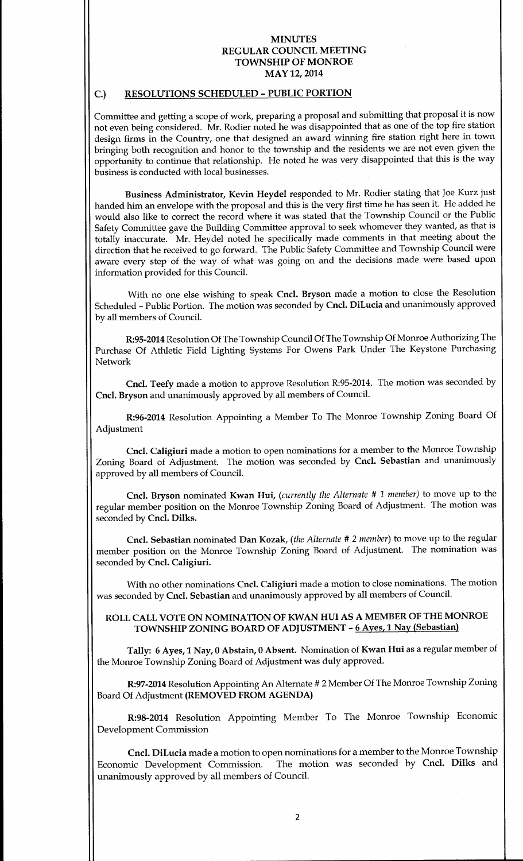# C.) RESOLUTIONS SCHEDULED - PUBLIC PORTION

Committee and getting <sup>a</sup> scope of work, preparing <sup>a</sup> proposal and submitting that proposal it is now not even being considered. Mr. Rodier noted he was disappointed that as one of the top fire station design firms in the Country, one that designed an award winning fire station right here in town bringing both recognition and honor to the township and the residents we are not even given the opportunity to continue that relationship. He noted he was very disappointed that this is the way business is conducted with local businesses.

Business Administrator, Kevin Heydel responded to Mr. Rodier stating that Joe Kurz just handed him an envelope with the proposal and this is the very first time he has seen it. He added he would also like to correct the record where it was stated that the Township Council or the Public Safety Committee gave the Building Committee approval to seek whomever they wanted, as that is totally inaccurate. Mr. Heydel noted he specifically made comments in that meeting about the direction that he received to go forward. The Public Safety Committee and Township Council were aware every step of the way of what was going on and the decisions made were based upon information provided for this Council.

With no one else wishing to speak Cncl. Bryson made a motion to close the Resolution Scheduled- Public Portion. The motion was seconded by Cncl. DiLucia and unanimously approved by all members of Council.

R:95- 2014 Resolution Of The Township Council Of The Township Of Monroe Authorizing The Purchase Of Athletic Field Lighting Systems For Owens Park Under The Keystone Purchasing Network

Cncl. Teefy made a motion to approve Resolution R:95-2014. The motion was seconded by Cncl. Bryson and unanimously approved by all members of Council.

R:96-2014 Resolution Appointing a Member To The Monroe Township Zoning Board Of Adjustment

Cncl. Caligiuri made <sup>a</sup> motion to open nominations for <sup>a</sup> member to the Monroe Township Zoning Board of Adjustment. The motion was seconded by Cncl. Sebastian and unanimously approved by all members of Council.

Cncl. Bryson nominated Kwan Hui, (currently the Alternate # <sup>1</sup> member) to move up to the regular member position on the Monroe Township Zoning Board of Adjustment. The motion was seconded by Cncl. Dilks.

Cncl. Sebastian nominated Dan Kozak, (the Alternate # <sup>2</sup> member) to move up to the regular member position on the Monroe Township Zoning Board of Adjustment. The nomination was seconded by Cncl. Caligiuri.

With no other nominations Cncl. Caligiuri made a motion to close nominations. The motion was seconded by Cncl. Sebastian and unanimously approved by all members of Council.

# ROLL CALL VOTE ON NOMINATION OF KWAN HUI AS A MEMBER OF THE MONROE TOWNSHIP ZONING BOARD OF ADJUSTMENT - 6 Ayes, 1 Nay (Sebastian)

Tally: 6 Ayes, <sup>1</sup> Nay, <sup>0</sup> Abstain, <sup>0</sup> Absent. Nomination of Kwan Hui as <sup>a</sup> regular member of the Monroe Township Zoning Board of Adjustment was duly approved.

R:97-2014 Resolution Appointing An Alternate # 2 Member Of The Monroe Township Zoning Board Of Adjustment (REMOVED FROM AGENDA)

R:98-2014 Resolution Appointing Member To The Monroe Township Economic Development Commission

Cncl. DiLucia made a motion to open nominations for a member to the Monroe Township Economic Development Commission. The motion was seconded by Cncl. Dilks and unanimously approved by all members of Council.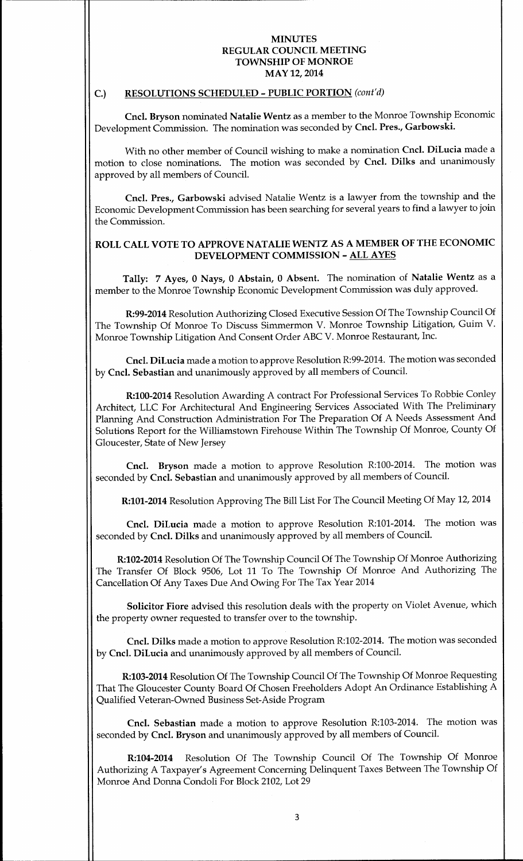### C.) RESOLUTIONS SCHEDULED - PUBLIC PORTION (cont'd)

Cncl. Bryson nominated Natalie Wentz as a member to the Monroe Township Economic Development Commission. The nomination was seconded by Cncl. Pres., Garbowski.

With no other member of Council wishing to make a nomination Cncl. DiLucia made a motion to close nominations. The motion was seconded by Cncl. Dilks and unanimously approved by all members of Council.

Cncl. Pres., Garbowski advised Natalie Wentz is a lawyer from the township and the Economic Development Commission has been searching for several years to find <sup>a</sup> lawyer to join the Commission.

# ROLL CALL VOTE TO APPROVE NATALIE WENTZ AS A MEMBER OF THE ECONOMIC DEVELOPMENT COMMISSION - ALL AYES

Tally: <sup>7</sup> Ayes, 0 Nays, 0 Abstain, <sup>0</sup> Absent. The nomination of Natalie Wentz as <sup>a</sup> member to the Monroe Township Economic Development Commission was duly approved.

R:99-2014 Resolution Authorizing Closed Executive Session Of The Township Council Of The Township Of Monroe To Discuss Simmermon V. Monroe Township Litigation, Guim V. Monroe Township Litigation And Consent Order ABC V. Monroe Restaurant, Inc.

Cncl. DiLucia made a motion to approve Resolution R:99-2014. The motion was seconded by Cncl. Sebastian and unanimously approved by all members of Council.

R:100-2014 Resolution Awarding A contract For Professional Services To Robbie Conley Architect, LLC For Architectural And Engineering Services Associated With The Preliminary Planning And Construction Administration For The Preparation Of A Needs Assessment And Solutions Report for the Williamstown Firehouse Within The Township Of Monroe, County Of Gloucester, State of New Jersey

Cncl. Bryson made a motion to approve Resolution R:100-2014. The motion was seconded by Cncl. Sebastian and unanimously approved by all members of Council.

R:101-2014 Resolution Approving The Bill List For The Council Meeting Of May 12, 2014

Cncl. DiLucia made a motion to approve Resolution R:101-2014. The motion was seconded by Cncl. Dilks and unanimously approved by all members of Council.

R:102-2014 Resolution Of The Township Council Of The Township Of Monroe Authorizing The Transfer Of Block 9506, Lot 11 To The Township Of Monroe And Authorizing The Cancellation Of Any Taxes Due And Owing For The Tax Year 2014

Solicitor Fiore advised this resolution deals with the property on Violet Avenue, which the property owner requested to transfer over to the township.

Cncl. Dilks made a motion to approve Resolution R:102-2014. The motion was seconded by Cncl. DiLucia and unanimously approved by all members of Council.

R:103-2014 Resolution Of The Township Council Of The Township Of Monroe Requesting That The Gloucester County Board Of Chosen Freeholders Adopt An Ordinance Establishing A Qualified Veteran-Owned Business Set-Aside Program

Cncl. Sebastian made a motion to approve Resolution R:103-2014. The motion was seconded by Cncl. Bryson and unanimously approved by all members of Council.

R:104-2014 Resolution Of The Township Council Of The Township Of Monroe Authorizing A Taxpayer's Agreement Concerning Delinquent Taxes Between The Township Of Monroe And Donna Condoli For Block 2102, Lot 29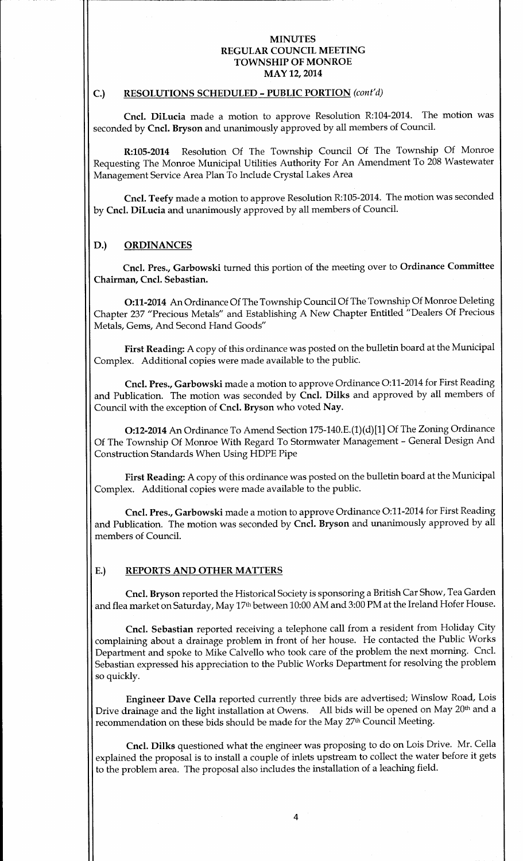### C.) RESOLUTIONS SCHEDULED - PUBLIC PORTION (cont'd)

Cncl. DiLucia made <sup>a</sup> motion to approve Resolution R:104-2014. The motion was seconded by Cncl. Bryson and unanimously approved by all members of Council.

R:105-2014 Resolution Of The Township Council Of The Township Of Monroe Requesting The Monroe Municipal Utilities Authority For An Amendment To 208 Wastewater Management Service Area Plan To Include Crystal Lakes Area

Cncl. Teefy made a motion to approve Resolution R:105- 2014. The motion was seconded by Cncl. DiLucia and unanimously approved by all members of Council.

### D.) ORDINANCES

Cncl. Pres., Garbowski turned this portion of the meeting over to Ordinance Committee Chairman, Cncl. Sebastian.

0:11- <sup>2014</sup> An Ordinance Of The Township Council Of The Township Of Monroe Deleting Chapter 237 " Precious Metals" and Establishing A New Chapter Entitled " Dealers Of Precious Metals, Gems, And Second Hand Goods"

First Reading: A copy of this ordinance was posted on the bulletin board at the Municipal Complex. Additional copies were made available to the public.

Cncl. Pres., Garbowski made <sup>a</sup> motion to approve Ordinance 0:11- <sup>2014</sup> for First Reading and Publication. The motion was seconded by Cncl. Dilks and approved by all members of Council with the exception of Cncl. Bryson who voted Nay.

O:12-2014 An Ordinance To Amend Section 175-140.E.(1)(d)[1] Of The Zoning Ordinance Of The Township Of Monroe With Regard To Stormwater Management - General Design And Construction Standards When Using HDPE Pipe

First Reading: A copy of this ordinance was posted on the bulletin board at the Municipal Complex. Additional copies were made available to the public.

Cncl. Pres., Garbowski made a motion to approve Ordinance O:11-2014 for First Reading and Publication. The motion was seconded by Cncl. Bryson and unanimously approved by all members of Council.

# E.) REPORTS AND OTHER MATTERS

Cncl. Bryson reported the Historical Society is sponsoring a British Car Show, Tea Garden and flea market on Saturday, May 17<sup>th</sup> between 10:00 AM and 3:00 PM at the Ireland Hofer House.

Cncl. Sebastian reported receiving <sup>a</sup> telephone call from a resident from Holiday City complaining about <sup>a</sup> drainage problem in front of her house. He contacted the Public Works Department and spoke to Mike Calvello who took care of the problem the next morning. Cncl. Sebastian expressed his appreciation to the Public Works Department for resolving the problem so quickly.

Engineer Dave Cella reported currently three bids are advertised; Winslow Road, Lois Drive drainage and the light installation at Owens. All bids will be opened on May 20<sup>th</sup> and a recommendation on these bids should be made for the May 27<sup>th</sup> Council Meeting.

Cncl. Dilks questioned what the engineer was proposing to do on Lois Drive. Mr. Cella explained the proposal is to install <sup>a</sup> couple of inlets upstream to collect the water before it gets to the problem area. The proposal also includes the installation of a leaching field.